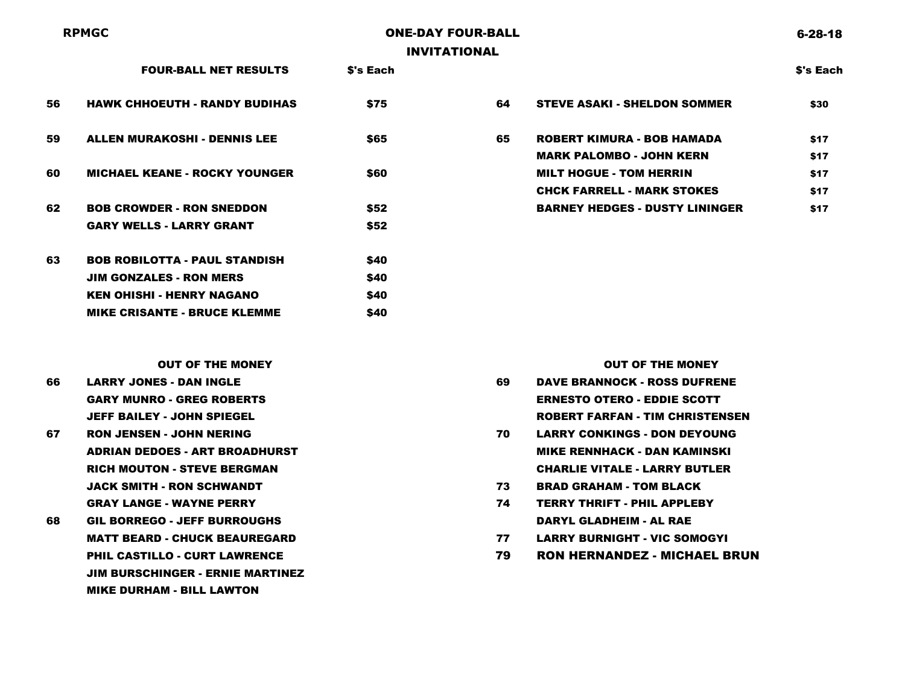## **RPMGC** ONE-DAY FOUR-BALL INVITATIONAL

| <b>HAWK CHHOEUTH - RANDY BUDIHAS</b><br>56 |
|--------------------------------------------|
|--------------------------------------------|

- 59 ALLEN MURAKOSHI DENNIS LEE 665
- 60 MICHAEL KEANE ROCKY YOUNGER \$60
- 62 BOB CROWDER RON SNEDDON \$52 GARY WELLS - LARRY GRANT \$52

| 63 | <b>BOB ROBILOTTA - PAUL STANDISH</b> | <b>S40</b> |
|----|--------------------------------------|------------|
|    | <b>JIM GONZALES - RON MERS</b>       | <b>S40</b> |
|    | KEN OHISHI - HENRY NAGANO            | <b>S40</b> |
|    | <b>MIKE CRISANTE - BRUCE KLEMME</b>  | <b>S40</b> |

|    | <b>FOUR-BALL NET RESULTS</b>         | <b>S's Each</b> |    |                                       | <b>S's Each</b> |
|----|--------------------------------------|-----------------|----|---------------------------------------|-----------------|
| 56 | <b>HAWK CHHOEUTH - RANDY BUDIHAS</b> | \$75            | 64 | <b>STEVE ASAKI - SHELDON SOMMER</b>   | \$30            |
| 59 | <b>ALLEN MURAKOSHI - DENNIS LEE</b>  | \$65            | 65 | <b>ROBERT KIMURA - BOB HAMADA</b>     | \$17            |
|    |                                      |                 |    | <b>MARK PALOMBO - JOHN KERN</b>       | \$17            |
| 60 | <b>MICHAEL KEANE - ROCKY YOUNGER</b> | \$60            |    | <b>MILT HOGUE - TOM HERRIN</b>        | \$17            |
|    |                                      |                 |    | <b>CHCK FARRELL - MARK STOKES</b>     | \$17            |
| 62 | <b>BOB CROWDER - RON SNEDDON</b>     | \$52            |    | <b>BARNEY HEDGES - DUSTY LININGER</b> | \$17            |
|    |                                      |                 |    |                                       |                 |

- JEFF BAILEY JOHN SPIEGEL ROBERT FARFAN TIM CHRISTENSEN
- JACK SMITH RON SCHWANDT 73 BRAD GRAHAM TOM BLACK GRAY LANGE - WAYNE PERRY 74 TERRY THRIFT - PHIL APPLEBY
- 68 GIL BORREGO JEFF BURROUGHS DARYL GLADHEIM AL RAE MATT BEARD - CHUCK BEAUREGARD 77 LARRY BURNIGHT - VIC SOMOGYI JIM BURSCHINGER - ERNIE MARTINEZ MIKE DURHAM - BILL LAWTON

OUT OF THE MONEY GOVERNMENT CONTROL IN THE MONEY COUT OF THE MONEY 66 LARRY JONES - DAN INGLE 69 DAVE BRANNOCK - ROSS DUFRENE GARY MUNRO - GREG ROBERTS ERNESTO OTERO - EDDIE SCOTT

- 67 RON JENSEN JOHN NERING 70 LARRY CONKINGS DON DEYOUNG ADRIAN DEDOES - ART BROADHURST MIKE RENNHACK - DAN KAMINSKI RICH MOUTON - STEVE BERGMAN CHARLIE VITALE - LARRY BUTLER
	-
	-
	-
	- PHIL CASTILLO CURT LAWRENCE 79 RON HERNANDEZ MICHAEL BRUN